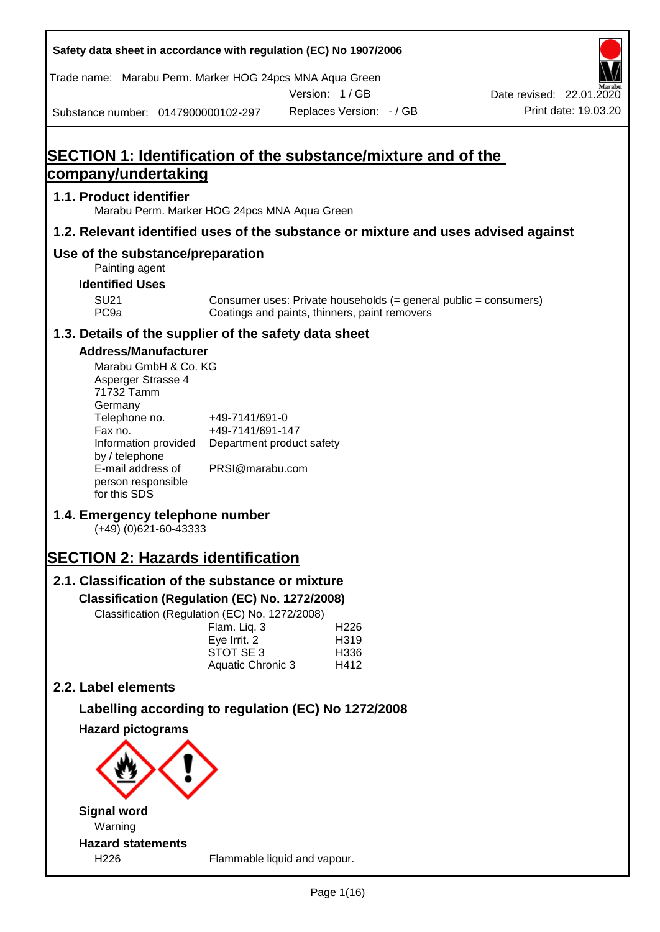| Safety data sheet in accordance with regulation (EC) No 1907/2006                                                                                                                                                                                                                                                                                                                                |                                                       |                                                                                                                   |                          |
|--------------------------------------------------------------------------------------------------------------------------------------------------------------------------------------------------------------------------------------------------------------------------------------------------------------------------------------------------------------------------------------------------|-------------------------------------------------------|-------------------------------------------------------------------------------------------------------------------|--------------------------|
| Trade name: Marabu Perm. Marker HOG 24pcs MNA Aqua Green                                                                                                                                                                                                                                                                                                                                         |                                                       |                                                                                                                   |                          |
|                                                                                                                                                                                                                                                                                                                                                                                                  |                                                       | Version: 1/GB                                                                                                     | Date revised: 22.01.2020 |
| Substance number: 0147900000102-297                                                                                                                                                                                                                                                                                                                                                              |                                                       | Replaces Version: - / GB                                                                                          | Print date: 19.03.20     |
| <b>SECTION 1: Identification of the substance/mixture and of the</b>                                                                                                                                                                                                                                                                                                                             |                                                       |                                                                                                                   |                          |
| company/undertaking                                                                                                                                                                                                                                                                                                                                                                              |                                                       |                                                                                                                   |                          |
| 1.1. Product identifier<br>Marabu Perm. Marker HOG 24pcs MNA Aqua Green                                                                                                                                                                                                                                                                                                                          |                                                       |                                                                                                                   |                          |
| 1.2. Relevant identified uses of the substance or mixture and uses advised against                                                                                                                                                                                                                                                                                                               |                                                       |                                                                                                                   |                          |
| Use of the substance/preparation<br>Painting agent                                                                                                                                                                                                                                                                                                                                               |                                                       |                                                                                                                   |                          |
| <b>Identified Uses</b>                                                                                                                                                                                                                                                                                                                                                                           |                                                       |                                                                                                                   |                          |
| <b>SU21</b><br>PC <sub>9a</sub>                                                                                                                                                                                                                                                                                                                                                                  |                                                       | Consumer uses: Private households (= general public = consumers)<br>Coatings and paints, thinners, paint removers |                          |
| 1.3. Details of the supplier of the safety data sheet                                                                                                                                                                                                                                                                                                                                            |                                                       |                                                                                                                   |                          |
| <b>Address/Manufacturer</b><br>Marabu GmbH & Co. KG<br>Asperger Strasse 4<br>71732 Tamm<br>Germany<br>Telephone no.<br>Fax no.<br>Information provided<br>by / telephone<br>E-mail address of<br>person responsible<br>for this SDS<br>1.4. Emergency telephone number<br>$(+49)$ (0)621-60-43333<br><b>SECTION 2: Hazards identification</b><br>2.1. Classification of the substance or mixture | +49-7141/691-0<br>+49-7141/691-147<br>PRSI@marabu.com | Department product safety                                                                                         |                          |
| Classification (Regulation (EC) No. 1272/2008)                                                                                                                                                                                                                                                                                                                                                   |                                                       |                                                                                                                   |                          |
| Classification (Regulation (EC) No. 1272/2008)                                                                                                                                                                                                                                                                                                                                                   |                                                       |                                                                                                                   |                          |
|                                                                                                                                                                                                                                                                                                                                                                                                  | Flam. Liq. 3<br>Eye Irrit. 2                          | H226<br>H319                                                                                                      |                          |
|                                                                                                                                                                                                                                                                                                                                                                                                  | STOT SE 3                                             | H336                                                                                                              |                          |
|                                                                                                                                                                                                                                                                                                                                                                                                  | Aquatic Chronic 3                                     | H412                                                                                                              |                          |
| 2.2. Label elements                                                                                                                                                                                                                                                                                                                                                                              |                                                       |                                                                                                                   |                          |
| Labelling according to regulation (EC) No 1272/2008                                                                                                                                                                                                                                                                                                                                              |                                                       |                                                                                                                   |                          |
| <b>Hazard pictograms</b>                                                                                                                                                                                                                                                                                                                                                                         |                                                       |                                                                                                                   |                          |
|                                                                                                                                                                                                                                                                                                                                                                                                  |                                                       |                                                                                                                   |                          |
| <b>Signal word</b>                                                                                                                                                                                                                                                                                                                                                                               |                                                       |                                                                                                                   |                          |
| Warning                                                                                                                                                                                                                                                                                                                                                                                          |                                                       |                                                                                                                   |                          |
| <b>Hazard statements</b>                                                                                                                                                                                                                                                                                                                                                                         |                                                       |                                                                                                                   |                          |
| H226                                                                                                                                                                                                                                                                                                                                                                                             |                                                       | Flammable liquid and vapour.                                                                                      |                          |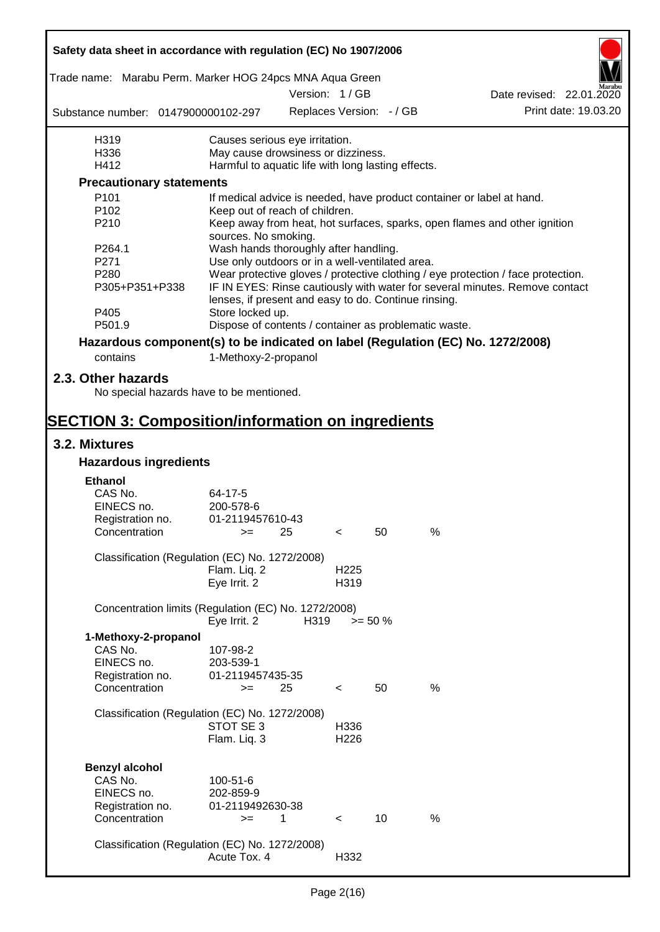| Safety data sheet in accordance with regulation (EC) No 1907/2006               |                                                       |      |                  |                          |      |                                                                                  |
|---------------------------------------------------------------------------------|-------------------------------------------------------|------|------------------|--------------------------|------|----------------------------------------------------------------------------------|
| Trade name: Marabu Perm. Marker HOG 24pcs MNA Aqua Green                        |                                                       |      |                  |                          |      |                                                                                  |
|                                                                                 |                                                       |      | Version: 1 / GB  |                          |      | Date revised: 22.01.2020                                                         |
| Substance number: 0147900000102-297                                             |                                                       |      |                  | Replaces Version: - / GB |      | Print date: 19.03.20                                                             |
| H319                                                                            | Causes serious eye irritation.                        |      |                  |                          |      |                                                                                  |
| H336                                                                            | May cause drowsiness or dizziness.                    |      |                  |                          |      |                                                                                  |
| H412                                                                            | Harmful to aquatic life with long lasting effects.    |      |                  |                          |      |                                                                                  |
| <b>Precautionary statements</b>                                                 |                                                       |      |                  |                          |      |                                                                                  |
| P <sub>101</sub>                                                                |                                                       |      |                  |                          |      | If medical advice is needed, have product container or label at hand.            |
| P102                                                                            | Keep out of reach of children.                        |      |                  |                          |      |                                                                                  |
| P210                                                                            | sources. No smoking.                                  |      |                  |                          |      | Keep away from heat, hot surfaces, sparks, open flames and other ignition        |
| P <sub>264.1</sub>                                                              | Wash hands thoroughly after handling.                 |      |                  |                          |      |                                                                                  |
| P271                                                                            | Use only outdoors or in a well-ventilated area.       |      |                  |                          |      |                                                                                  |
| P280                                                                            |                                                       |      |                  |                          |      | Wear protective gloves / protective clothing / eye protection / face protection. |
| P305+P351+P338                                                                  | lenses, if present and easy to do. Continue rinsing.  |      |                  |                          |      | IF IN EYES: Rinse cautiously with water for several minutes. Remove contact      |
| P405                                                                            | Store locked up.                                      |      |                  |                          |      |                                                                                  |
| P501.9                                                                          | Dispose of contents / container as problematic waste. |      |                  |                          |      |                                                                                  |
| Hazardous component(s) to be indicated on label (Regulation (EC) No. 1272/2008) |                                                       |      |                  |                          |      |                                                                                  |
| contains                                                                        | 1-Methoxy-2-propanol                                  |      |                  |                          |      |                                                                                  |
| 2.3. Other hazards                                                              |                                                       |      |                  |                          |      |                                                                                  |
| No special hazards have to be mentioned.                                        |                                                       |      |                  |                          |      |                                                                                  |
| <b>SECTION 3: Composition/information on ingredients</b>                        |                                                       |      |                  |                          |      |                                                                                  |
| 3.2. Mixtures                                                                   |                                                       |      |                  |                          |      |                                                                                  |
| <b>Hazardous ingredients</b>                                                    |                                                       |      |                  |                          |      |                                                                                  |
| <b>Ethanol</b>                                                                  |                                                       |      |                  |                          |      |                                                                                  |
| CAS No.                                                                         | 64-17-5                                               |      |                  |                          |      |                                                                                  |
| EINECS no.                                                                      | 200-578-6                                             |      |                  |                          |      |                                                                                  |
| Registration no.                                                                | 01-2119457610-43                                      |      |                  |                          |      |                                                                                  |
| Concentration                                                                   | $>=$ 25                                               |      | $\leq$           | 50                       | %    |                                                                                  |
| Classification (Regulation (EC) No. 1272/2008)                                  |                                                       |      |                  |                          |      |                                                                                  |
|                                                                                 | Flam. Liq. 2                                          |      | H <sub>225</sub> |                          |      |                                                                                  |
|                                                                                 | Eye Irrit. 2                                          |      | H319             |                          |      |                                                                                  |
| Concentration limits (Regulation (EC) No. 1272/2008)                            |                                                       |      |                  |                          |      |                                                                                  |
|                                                                                 | Eye Irrit. 2                                          | H319 |                  | $>= 50 \%$               |      |                                                                                  |
| 1-Methoxy-2-propanol                                                            |                                                       |      |                  |                          |      |                                                                                  |
| CAS No.                                                                         | 107-98-2                                              |      |                  |                          |      |                                                                                  |
| EINECS no.                                                                      | 203-539-1                                             |      |                  |                          |      |                                                                                  |
| Registration no.                                                                | 01-2119457435-35                                      |      |                  |                          |      |                                                                                  |
| Concentration                                                                   | $>=$                                                  | 25   | $\,<\,$          | 50                       | %    |                                                                                  |
| Classification (Regulation (EC) No. 1272/2008)                                  |                                                       |      |                  |                          |      |                                                                                  |
|                                                                                 | STOT SE 3                                             |      | H336             |                          |      |                                                                                  |
|                                                                                 | Flam. Liq. 3                                          |      | H <sub>226</sub> |                          |      |                                                                                  |
|                                                                                 |                                                       |      |                  |                          |      |                                                                                  |
| <b>Benzyl alcohol</b>                                                           |                                                       |      |                  |                          |      |                                                                                  |
| CAS No.                                                                         | 100-51-6                                              |      |                  |                          |      |                                                                                  |
| EINECS no.                                                                      | 202-859-9                                             |      |                  |                          |      |                                                                                  |
| Registration no.                                                                | 01-2119492630-38                                      |      |                  |                          |      |                                                                                  |
| Concentration                                                                   | $>=$                                                  | 1    | $\,<\,$          | 10                       | $\%$ |                                                                                  |
|                                                                                 |                                                       |      |                  |                          |      |                                                                                  |
| Classification (Regulation (EC) No. 1272/2008)                                  |                                                       |      |                  |                          |      |                                                                                  |
|                                                                                 | Acute Tox. 4                                          |      | H332             |                          |      |                                                                                  |
|                                                                                 |                                                       |      |                  |                          |      |                                                                                  |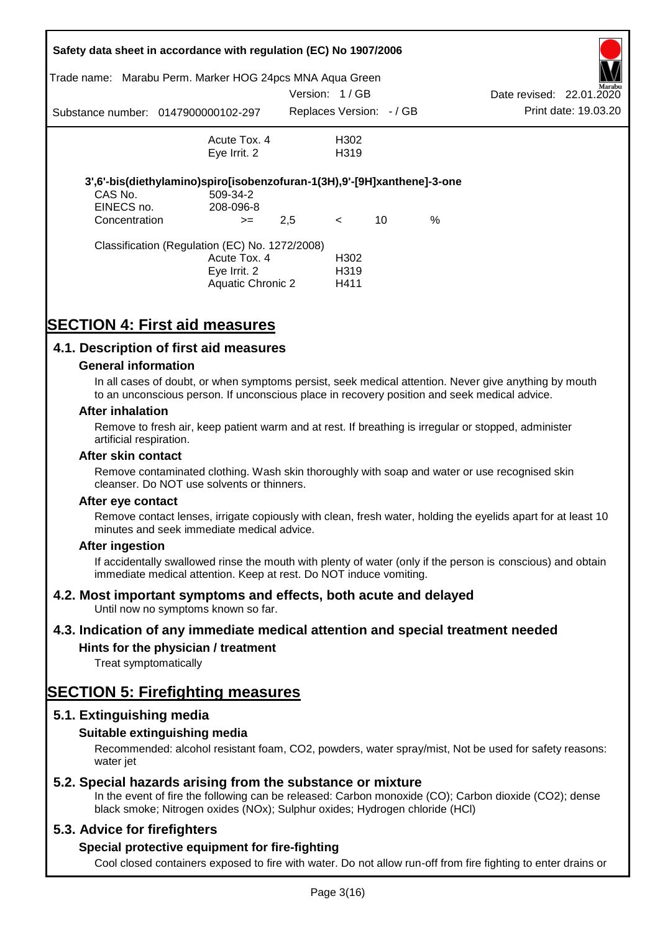| Trade name:                 | Safety data sheet in accordance with regulation (EC) No 1907/2006<br>Marabu Perm. Marker HOG 24pcs MNA Aqua Green |               |                          |    |      |                          |                      |
|-----------------------------|-------------------------------------------------------------------------------------------------------------------|---------------|--------------------------|----|------|--------------------------|----------------------|
|                             |                                                                                                                   | Version: 1/GB |                          |    |      | Date revised: 22.01.2020 | Marabu               |
|                             | Substance number: 0147900000102-297                                                                               |               | Replaces Version: - / GB |    |      |                          | Print date: 19.03.20 |
|                             | Acute Tox. 4                                                                                                      |               | H302                     |    |      |                          |                      |
|                             | Eye Irrit. 2                                                                                                      |               | H <sub>3</sub> 19        |    |      |                          |                      |
|                             | 3',6'-bis(diethylamino)spiro[isobenzofuran-1(3H),9'-[9H]xanthene]-3-one                                           |               |                          |    |      |                          |                      |
| CAS No.                     | 509-34-2                                                                                                          |               |                          |    |      |                          |                      |
| EINECS no.<br>Concentration | 208-096-8                                                                                                         | 2,5           | $\lt$                    | 10 | $\%$ |                          |                      |
|                             | $>=$                                                                                                              |               |                          |    |      |                          |                      |
|                             | Classification (Regulation (EC) No. 1272/2008)                                                                    |               |                          |    |      |                          |                      |
|                             | Acute Tox. 4                                                                                                      |               | H <sub>302</sub>         |    |      |                          |                      |
|                             | Eye Irrit. 2                                                                                                      |               | H <sub>3</sub> 19        |    |      |                          |                      |
|                             | Aquatic Chronic 2                                                                                                 |               | H411                     |    |      |                          |                      |

# **SECTION 4: First aid measures**

### **4.1. Description of first aid measures**

#### **General information**

In all cases of doubt, or when symptoms persist, seek medical attention. Never give anything by mouth to an unconscious person. If unconscious place in recovery position and seek medical advice.

#### **After inhalation**

Remove to fresh air, keep patient warm and at rest. If breathing is irregular or stopped, administer artificial respiration.

#### **After skin contact**

Remove contaminated clothing. Wash skin thoroughly with soap and water or use recognised skin cleanser. Do NOT use solvents or thinners.

#### **After eye contact**

Remove contact lenses, irrigate copiously with clean, fresh water, holding the eyelids apart for at least 10 minutes and seek immediate medical advice.

#### **After ingestion**

If accidentally swallowed rinse the mouth with plenty of water (only if the person is conscious) and obtain immediate medical attention. Keep at rest. Do NOT induce vomiting.

#### **4.2. Most important symptoms and effects, both acute and delayed**

Until now no symptoms known so far.

#### **4.3. Indication of any immediate medical attention and special treatment needed**

#### **Hints for the physician / treatment**

Treat symptomatically

## **SECTION 5: Firefighting measures**

#### **5.1. Extinguishing media**

#### **Suitable extinguishing media**

Recommended: alcohol resistant foam, CO2, powders, water spray/mist, Not be used for safety reasons: water *iet* 

#### **5.2. Special hazards arising from the substance or mixture**

In the event of fire the following can be released: Carbon monoxide (CO); Carbon dioxide (CO2); dense black smoke; Nitrogen oxides (NOx); Sulphur oxides; Hydrogen chloride (HCl)

#### **5.3. Advice for firefighters**

#### **Special protective equipment for fire-fighting**

Cool closed containers exposed to fire with water. Do not allow run-off from fire fighting to enter drains or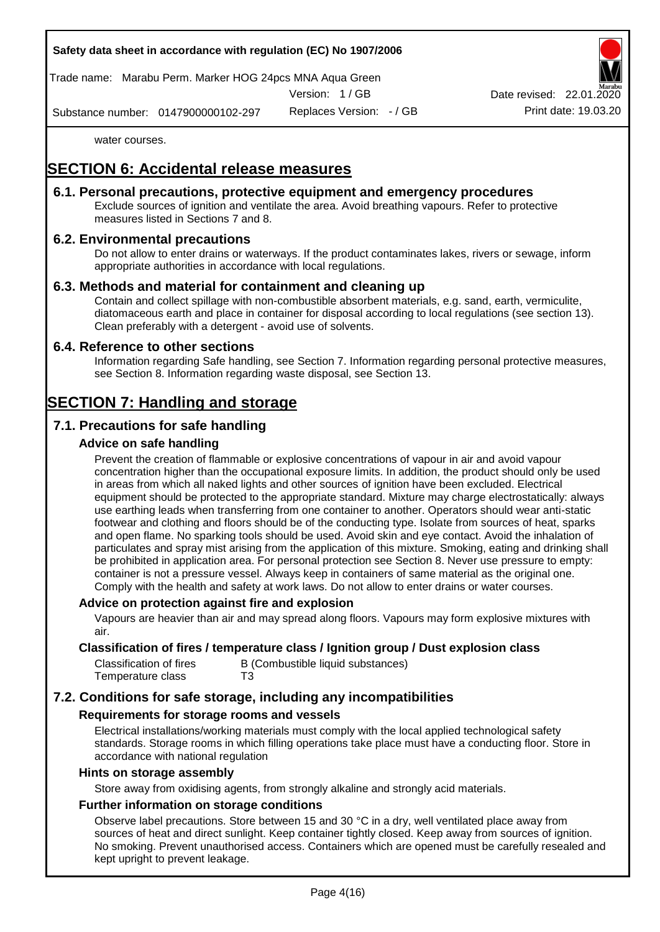

Trade name: Marabu Perm. Marker HOG 24pcs MNA Aqua Green

Version: 1 / GB

Replaces Version: - / GB Print date: 19.03.20 Date revised: 22.01.

Substance number: 0147900000102-297

water courses.

# **SECTION 6: Accidental release measures**

### **6.1. Personal precautions, protective equipment and emergency procedures**

Exclude sources of ignition and ventilate the area. Avoid breathing vapours. Refer to protective measures listed in Sections 7 and 8.

### **6.2. Environmental precautions**

Do not allow to enter drains or waterways. If the product contaminates lakes, rivers or sewage, inform appropriate authorities in accordance with local regulations.

### **6.3. Methods and material for containment and cleaning up**

Contain and collect spillage with non-combustible absorbent materials, e.g. sand, earth, vermiculite, diatomaceous earth and place in container for disposal according to local regulations (see section 13). Clean preferably with a detergent - avoid use of solvents.

#### **6.4. Reference to other sections**

Information regarding Safe handling, see Section 7. Information regarding personal protective measures, see Section 8. Information regarding waste disposal, see Section 13.

# **SECTION 7: Handling and storage**

### **7.1. Precautions for safe handling**

### **Advice on safe handling**

Prevent the creation of flammable or explosive concentrations of vapour in air and avoid vapour concentration higher than the occupational exposure limits. In addition, the product should only be used in areas from which all naked lights and other sources of ignition have been excluded. Electrical equipment should be protected to the appropriate standard. Mixture may charge electrostatically: always use earthing leads when transferring from one container to another. Operators should wear anti-static footwear and clothing and floors should be of the conducting type. Isolate from sources of heat, sparks and open flame. No sparking tools should be used. Avoid skin and eye contact. Avoid the inhalation of particulates and spray mist arising from the application of this mixture. Smoking, eating and drinking shall be prohibited in application area. For personal protection see Section 8. Never use pressure to empty: container is not a pressure vessel. Always keep in containers of same material as the original one. Comply with the health and safety at work laws. Do not allow to enter drains or water courses.

#### **Advice on protection against fire and explosion**

Vapours are heavier than air and may spread along floors. Vapours may form explosive mixtures with air.

#### **Classification of fires / temperature class / Ignition group / Dust explosion class**

| Classification of fires | B (Combustible liquid substances) |
|-------------------------|-----------------------------------|
| Temperature class       | T3                                |

### **7.2. Conditions for safe storage, including any incompatibilities**

#### **Requirements for storage rooms and vessels**

Electrical installations/working materials must comply with the local applied technological safety standards. Storage rooms in which filling operations take place must have a conducting floor. Store in accordance with national regulation

#### **Hints on storage assembly**

Store away from oxidising agents, from strongly alkaline and strongly acid materials.

#### **Further information on storage conditions**

Observe label precautions. Store between 15 and 30 °C in a dry, well ventilated place away from sources of heat and direct sunlight. Keep container tightly closed. Keep away from sources of ignition. No smoking. Prevent unauthorised access. Containers which are opened must be carefully resealed and kept upright to prevent leakage.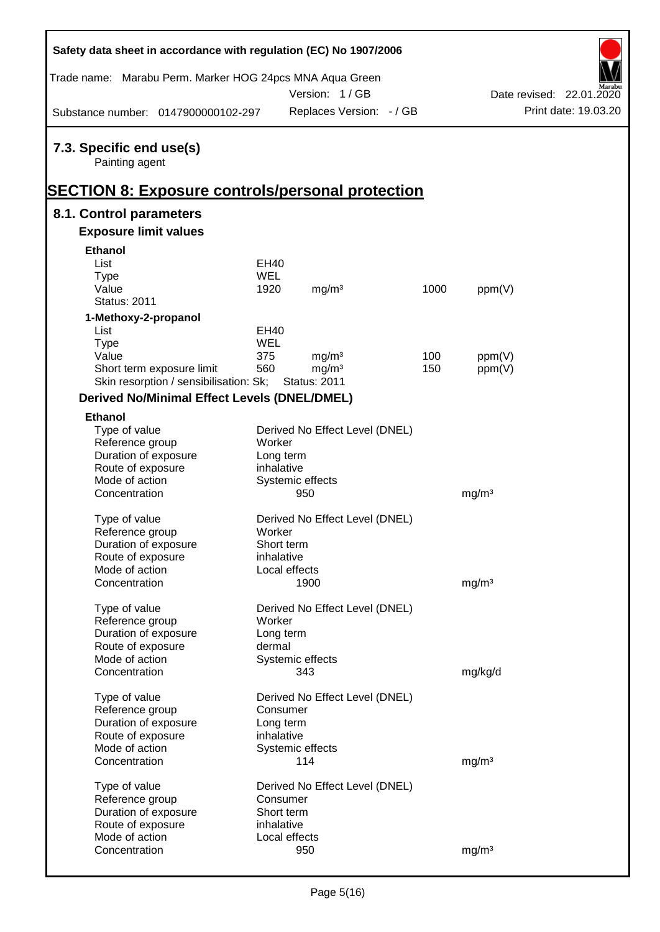| Safety data sheet in accordance with regulation (EC) No 1907/2006 |             |                                |      |                   |                          |
|-------------------------------------------------------------------|-------------|--------------------------------|------|-------------------|--------------------------|
| Trade name: Marabu Perm. Marker HOG 24pcs MNA Aqua Green          |             |                                |      |                   |                          |
|                                                                   |             | Version: 1/GB                  |      |                   | Date revised: 22.01.2020 |
| Substance number: 0147900000102-297                               |             | Replaces Version: - / GB       |      |                   | Print date: 19.03.20     |
| 7.3. Specific end use(s)<br>Painting agent                        |             |                                |      |                   |                          |
| <b>SECTION 8: Exposure controls/personal protection</b>           |             |                                |      |                   |                          |
| 8.1. Control parameters                                           |             |                                |      |                   |                          |
| <b>Exposure limit values</b>                                      |             |                                |      |                   |                          |
| <b>Ethanol</b>                                                    |             |                                |      |                   |                          |
| List                                                              | EH40        |                                |      |                   |                          |
| <b>Type</b>                                                       | WEL         |                                |      |                   |                          |
| Value                                                             | 1920        | mg/m <sup>3</sup>              | 1000 | ppm(V)            |                          |
| <b>Status: 2011</b>                                               |             |                                |      |                   |                          |
| 1-Methoxy-2-propanol                                              |             |                                |      |                   |                          |
| List                                                              | <b>EH40</b> |                                |      |                   |                          |
| <b>Type</b>                                                       | WEL         |                                |      |                   |                          |
| Value                                                             | 375         | mg/m <sup>3</sup>              | 100  | ppm(V)            |                          |
| Short term exposure limit                                         | 560         | mg/m <sup>3</sup>              | 150  | ppm(V)            |                          |
| Skin resorption / sensibilisation: Sk;                            |             | <b>Status: 2011</b>            |      |                   |                          |
| <b>Derived No/Minimal Effect Levels (DNEL/DMEL)</b>               |             |                                |      |                   |                          |
| <b>Ethanol</b>                                                    |             |                                |      |                   |                          |
| Type of value                                                     |             | Derived No Effect Level (DNEL) |      |                   |                          |
| Reference group                                                   | Worker      |                                |      |                   |                          |
| Duration of exposure                                              | Long term   |                                |      |                   |                          |
| Route of exposure                                                 | inhalative  |                                |      |                   |                          |
| Mode of action                                                    |             | Systemic effects               |      |                   |                          |
| Concentration                                                     |             | 950                            |      | mg/m <sup>3</sup> |                          |
|                                                                   |             | Derived No Effect Level (DNEL) |      |                   |                          |
| Type of value<br>Reference group                                  | Worker      |                                |      |                   |                          |
| Duration of exposure                                              | Short term  |                                |      |                   |                          |
| Route of exposure                                                 | inhalative  |                                |      |                   |                          |
| Mode of action                                                    |             | Local effects                  |      |                   |                          |
| Concentration                                                     |             | 1900                           |      | mg/m <sup>3</sup> |                          |
|                                                                   |             |                                |      |                   |                          |
| Type of value                                                     |             | Derived No Effect Level (DNEL) |      |                   |                          |
| Reference group                                                   | Worker      |                                |      |                   |                          |
| Duration of exposure                                              | Long term   |                                |      |                   |                          |
| Route of exposure                                                 | dermal      |                                |      |                   |                          |
| Mode of action                                                    |             | Systemic effects               |      |                   |                          |
| Concentration                                                     |             | 343                            |      | mg/kg/d           |                          |
|                                                                   |             |                                |      |                   |                          |
| Type of value<br>Reference group                                  | Consumer    | Derived No Effect Level (DNEL) |      |                   |                          |
| Duration of exposure                                              | Long term   |                                |      |                   |                          |
| Route of exposure                                                 | inhalative  |                                |      |                   |                          |
| Mode of action                                                    |             | Systemic effects               |      |                   |                          |
| Concentration                                                     |             | 114                            |      | mg/m <sup>3</sup> |                          |
|                                                                   |             |                                |      |                   |                          |
| Type of value                                                     |             | Derived No Effect Level (DNEL) |      |                   |                          |
| Reference group                                                   | Consumer    |                                |      |                   |                          |
| Duration of exposure                                              | Short term  |                                |      |                   |                          |
| Route of exposure                                                 | inhalative  |                                |      |                   |                          |
| Mode of action                                                    |             | Local effects                  |      |                   |                          |
| Concentration                                                     |             | 950                            |      | mg/m <sup>3</sup> |                          |

Ī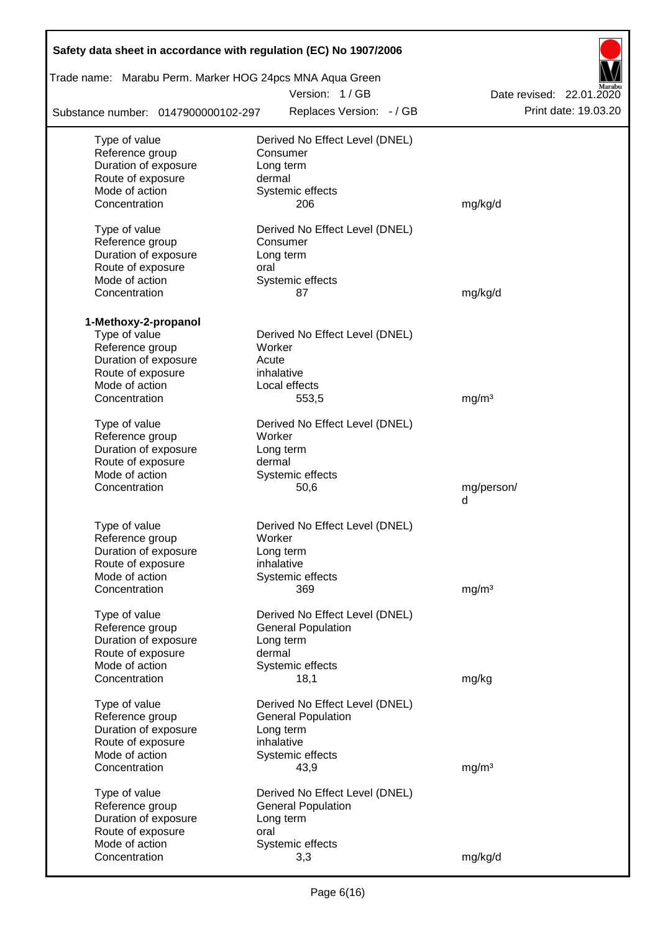| Safety data sheet in accordance with regulation (EC) No 1907/2006<br>Trade name: Marabu Perm. Marker HOG 24pcs MNA Aqua Green |                                |                          |
|-------------------------------------------------------------------------------------------------------------------------------|--------------------------------|--------------------------|
|                                                                                                                               | Version: 1/GB                  | Date revised: 22.01.2020 |
| Substance number: 0147900000102-297                                                                                           | Replaces Version: - / GB       | Print date: 19.03.20     |
| Type of value                                                                                                                 | Derived No Effect Level (DNEL) |                          |
| Reference group                                                                                                               | Consumer                       |                          |
| Duration of exposure                                                                                                          | Long term                      |                          |
| Route of exposure                                                                                                             | dermal                         |                          |
| Mode of action                                                                                                                | Systemic effects               |                          |
| Concentration                                                                                                                 | 206                            | mg/kg/d                  |
| Type of value                                                                                                                 | Derived No Effect Level (DNEL) |                          |
| Reference group                                                                                                               | Consumer                       |                          |
| Duration of exposure                                                                                                          | Long term                      |                          |
| Route of exposure                                                                                                             | oral                           |                          |
| Mode of action                                                                                                                | Systemic effects               |                          |
| Concentration                                                                                                                 | 87                             | mg/kg/d                  |
|                                                                                                                               |                                |                          |
| 1-Methoxy-2-propanol                                                                                                          |                                |                          |
| Type of value                                                                                                                 | Derived No Effect Level (DNEL) |                          |
| Reference group                                                                                                               | Worker                         |                          |
| Duration of exposure                                                                                                          | Acute<br>inhalative            |                          |
| Route of exposure<br>Mode of action                                                                                           | Local effects                  |                          |
| Concentration                                                                                                                 | 553,5                          | mg/m <sup>3</sup>        |
|                                                                                                                               |                                |                          |
| Type of value                                                                                                                 | Derived No Effect Level (DNEL) |                          |
| Reference group                                                                                                               | Worker                         |                          |
| Duration of exposure                                                                                                          | Long term                      |                          |
| Route of exposure                                                                                                             | dermal                         |                          |
| Mode of action                                                                                                                | Systemic effects               |                          |
| Concentration                                                                                                                 | 50,6                           | mg/person/               |
|                                                                                                                               |                                | d                        |
| Type of value                                                                                                                 | Derived No Effect Level (DNEL) |                          |
| Reference group                                                                                                               | Worker                         |                          |
| Duration of exposure                                                                                                          | Long term                      |                          |
| Route of exposure                                                                                                             | inhalative                     |                          |
| Mode of action                                                                                                                | Systemic effects               |                          |
| Concentration                                                                                                                 | 369                            | mg/m <sup>3</sup>        |
|                                                                                                                               |                                |                          |
| Type of value                                                                                                                 | Derived No Effect Level (DNEL) |                          |
| Reference group<br>Duration of exposure                                                                                       | <b>General Population</b>      |                          |
| Route of exposure                                                                                                             | Long term<br>dermal            |                          |
| Mode of action                                                                                                                | Systemic effects               |                          |
| Concentration                                                                                                                 | 18,1                           | mg/kg                    |
|                                                                                                                               |                                |                          |
| Type of value                                                                                                                 | Derived No Effect Level (DNEL) |                          |
| Reference group                                                                                                               | <b>General Population</b>      |                          |
| Duration of exposure                                                                                                          | Long term                      |                          |
| Route of exposure                                                                                                             | inhalative                     |                          |
| Mode of action                                                                                                                | Systemic effects               |                          |
| Concentration                                                                                                                 | 43,9                           | mg/m <sup>3</sup>        |
| Type of value                                                                                                                 | Derived No Effect Level (DNEL) |                          |
| Reference group                                                                                                               | <b>General Population</b>      |                          |
| Duration of exposure                                                                                                          | Long term                      |                          |
| Route of exposure                                                                                                             | oral                           |                          |
| Mode of action                                                                                                                | Systemic effects               |                          |
| Concentration                                                                                                                 | 3,3                            | mg/kg/d                  |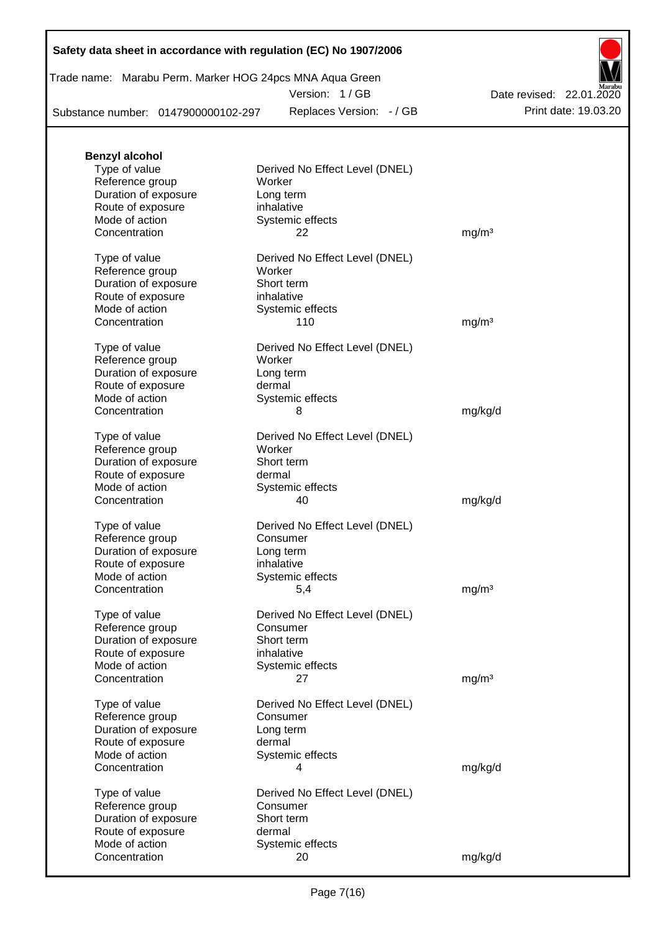Trade name: Marabu Perm. Marker HOG 24pcs MNA Aqua Green

Version: 1 / GB

Substance number: 0147900000102-297

Replaces Version: - / GB Print date: 19.03.20 Date revised: 22.01.2020

| <b>Benzyl alcohol</b>                   |                                            |                   |
|-----------------------------------------|--------------------------------------------|-------------------|
| Type of value                           | Derived No Effect Level (DNEL)             |                   |
| Reference group                         | Worker                                     |                   |
| Duration of exposure                    | Long term                                  |                   |
| Route of exposure                       | inhalative                                 |                   |
| Mode of action                          | Systemic effects                           |                   |
| Concentration                           | 22                                         | mg/m <sup>3</sup> |
| Type of value                           | Derived No Effect Level (DNEL)             |                   |
| Reference group                         | Worker                                     |                   |
| Duration of exposure                    | Short term                                 |                   |
| Route of exposure                       | inhalative                                 |                   |
| Mode of action                          | Systemic effects                           |                   |
| Concentration                           | 110                                        | mg/m <sup>3</sup> |
| Type of value                           | Derived No Effect Level (DNEL)             |                   |
| Reference group                         | Worker                                     |                   |
| Duration of exposure                    | Long term                                  |                   |
| Route of exposure                       | dermal                                     |                   |
| Mode of action                          | Systemic effects                           |                   |
| Concentration                           | 8                                          | mg/kg/d           |
|                                         |                                            |                   |
| Type of value                           | Derived No Effect Level (DNEL)             |                   |
| Reference group                         | Worker                                     |                   |
| Duration of exposure                    | Short term                                 |                   |
| Route of exposure                       | dermal                                     |                   |
| Mode of action<br>Concentration         | Systemic effects<br>40                     |                   |
|                                         |                                            | mg/kg/d           |
| Type of value                           | Derived No Effect Level (DNEL)             |                   |
| Reference group                         | Consumer                                   |                   |
| Duration of exposure                    | Long term                                  |                   |
| Route of exposure                       | inhalative                                 |                   |
| Mode of action                          | Systemic effects                           |                   |
| Concentration                           | 5,4                                        | mg/m <sup>3</sup> |
| Type of value                           | Derived No Effect Level (DNEL)             |                   |
| Reference group                         | Consumer                                   |                   |
| Duration of exposure                    | Short term                                 |                   |
| Route of exposure                       | inhalative                                 |                   |
| Mode of action                          | Systemic effects                           |                   |
| Concentration                           | 27                                         | mg/m <sup>3</sup> |
|                                         |                                            |                   |
| Type of value<br>Reference group        | Derived No Effect Level (DNEL)<br>Consumer |                   |
| Duration of exposure                    | Long term                                  |                   |
| Route of exposure                       | dermal                                     |                   |
| Mode of action                          | Systemic effects                           |                   |
| Concentration                           | 4                                          | mg/kg/d           |
|                                         |                                            |                   |
| Type of value                           | Derived No Effect Level (DNEL)             |                   |
| Reference group<br>Duration of exposure | Consumer<br>Short term                     |                   |
| Route of exposure                       | dermal                                     |                   |
| Mode of action                          | Systemic effects                           |                   |
| Concentration                           | 20                                         | mg/kg/d           |
|                                         |                                            |                   |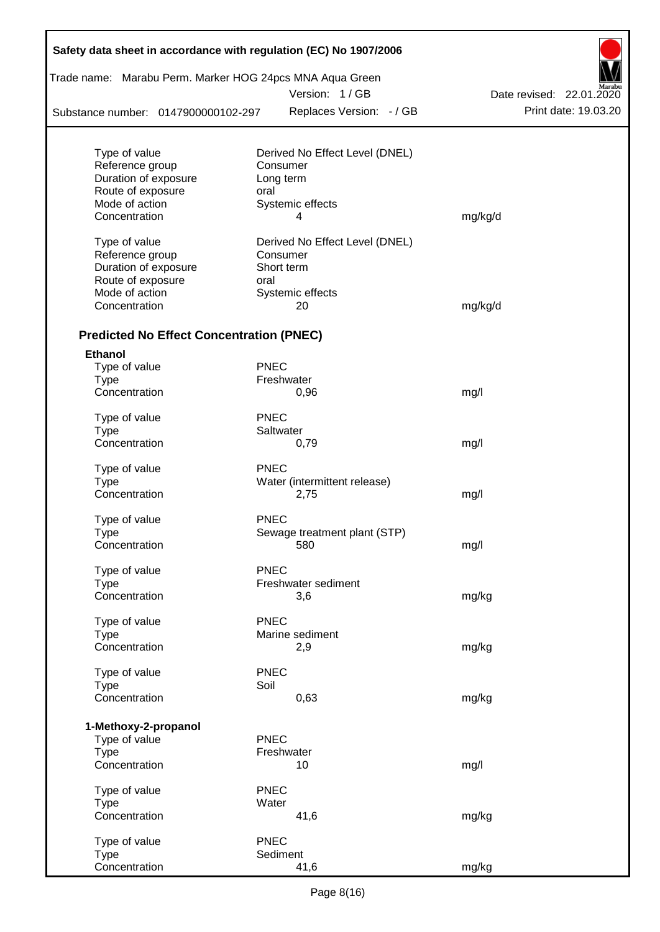| Safety data sheet in accordance with regulation (EC) No 1907/2006 |             |                                            |                          |
|-------------------------------------------------------------------|-------------|--------------------------------------------|--------------------------|
| Trade name: Marabu Perm. Marker HOG 24pcs MNA Aqua Green          |             | Version: 1/GB                              | Date revised: 22.01.2020 |
| Substance number: 0147900000102-297                               |             | Replaces Version: - / GB                   | Print date: 19.03.20     |
|                                                                   |             |                                            |                          |
| Type of value<br>Reference group                                  |             | Derived No Effect Level (DNEL)<br>Consumer |                          |
| Duration of exposure                                              |             | Long term                                  |                          |
| Route of exposure                                                 | oral        |                                            |                          |
| Mode of action                                                    |             | Systemic effects                           |                          |
| Concentration                                                     |             | 4                                          | mg/kg/d                  |
| Type of value                                                     |             | Derived No Effect Level (DNEL)             |                          |
| Reference group                                                   |             | Consumer                                   |                          |
| Duration of exposure                                              |             | Short term                                 |                          |
| Route of exposure                                                 | oral        |                                            |                          |
| Mode of action                                                    |             | Systemic effects                           |                          |
| Concentration                                                     |             | 20                                         | mg/kg/d                  |
| <b>Predicted No Effect Concentration (PNEC)</b>                   |             |                                            |                          |
| <b>Ethanol</b>                                                    |             |                                            |                          |
| Type of value                                                     | <b>PNEC</b> |                                            |                          |
| <b>Type</b>                                                       |             | Freshwater                                 |                          |
| Concentration                                                     |             | 0,96                                       | mg/l                     |
| Type of value                                                     | <b>PNEC</b> |                                            |                          |
| <b>Type</b>                                                       |             | Saltwater                                  |                          |
| Concentration                                                     |             | 0,79                                       | mg/l                     |
| Type of value                                                     | <b>PNEC</b> |                                            |                          |
| <b>Type</b>                                                       |             | Water (intermittent release)               |                          |
| Concentration                                                     |             | 2,75                                       | mg/l                     |
| Type of value                                                     | <b>PNEC</b> |                                            |                          |
| Type                                                              |             | Sewage treatment plant (STP)               |                          |
| Concentration                                                     |             | 580                                        | mg/l                     |
| Type of value                                                     | <b>PNEC</b> |                                            |                          |
| <b>Type</b>                                                       |             | Freshwater sediment                        |                          |
| Concentration                                                     |             | 3,6                                        | mg/kg                    |
| Type of value                                                     | <b>PNEC</b> |                                            |                          |
| <b>Type</b>                                                       |             | Marine sediment                            |                          |
| Concentration                                                     |             | 2,9                                        | mg/kg                    |
| Type of value                                                     | <b>PNEC</b> |                                            |                          |
| <b>Type</b>                                                       | Soil        |                                            |                          |
| Concentration                                                     |             | 0,63                                       | mg/kg                    |
| 1-Methoxy-2-propanol                                              |             |                                            |                          |
| Type of value                                                     | <b>PNEC</b> |                                            |                          |
| <b>Type</b>                                                       |             | Freshwater                                 |                          |
| Concentration                                                     |             | 10                                         | mg/l                     |
| Type of value                                                     | <b>PNEC</b> |                                            |                          |
| <b>Type</b>                                                       | Water       |                                            |                          |
| Concentration                                                     |             | 41,6                                       | mg/kg                    |
| Type of value                                                     | <b>PNEC</b> |                                            |                          |
| <b>Type</b>                                                       |             | Sediment                                   |                          |
| Concentration                                                     |             | 41,6                                       | mg/kg                    |

T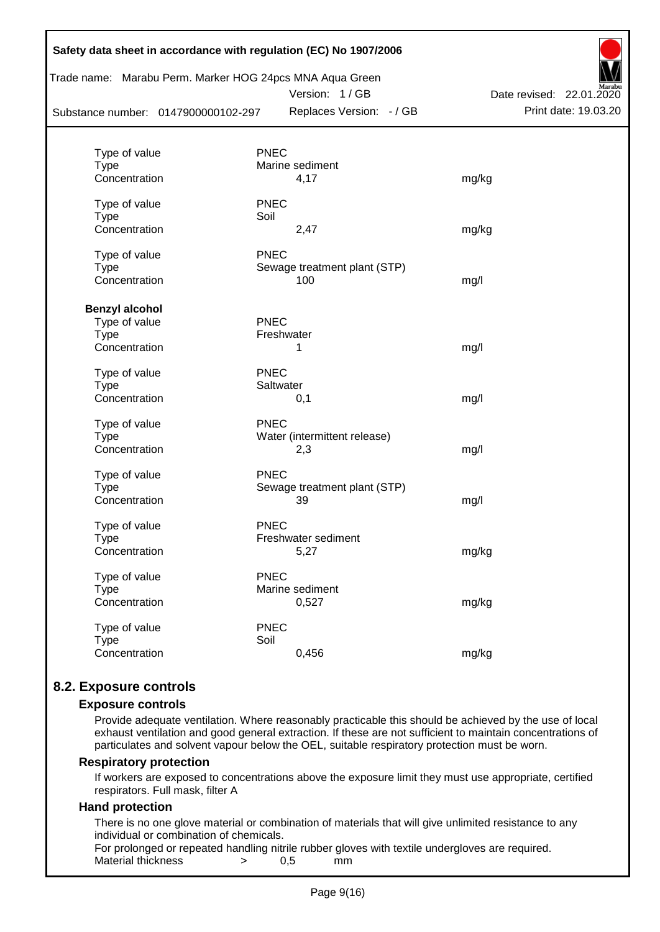|                                     |             | Trade name: Marabu Perm. Marker HOG 24pcs MNA Aqua Green<br>Version: 1/GB | Marabu<br>Date revised: 22.01.2020 |
|-------------------------------------|-------------|---------------------------------------------------------------------------|------------------------------------|
| Substance number: 0147900000102-297 |             | Replaces Version: - / GB                                                  | Print date: 19.03.20               |
| Type of value                       | <b>PNEC</b> |                                                                           |                                    |
| <b>Type</b>                         |             | Marine sediment                                                           |                                    |
| Concentration                       |             | 4,17                                                                      | mg/kg                              |
| Type of value                       | <b>PNEC</b> |                                                                           |                                    |
| <b>Type</b>                         | Soil        |                                                                           |                                    |
| Concentration                       |             | 2,47                                                                      | mg/kg                              |
| Type of value                       | <b>PNEC</b> |                                                                           |                                    |
| <b>Type</b>                         |             | Sewage treatment plant (STP)                                              |                                    |
| Concentration                       |             | 100                                                                       | mg/l                               |
| <b>Benzyl alcohol</b>               |             |                                                                           |                                    |
| Type of value                       | <b>PNEC</b> |                                                                           |                                    |
| Type                                |             | Freshwater                                                                |                                    |
| Concentration                       |             | 1                                                                         | mg/l                               |
| Type of value                       | <b>PNEC</b> |                                                                           |                                    |
| <b>Type</b>                         |             | Saltwater                                                                 |                                    |
| Concentration                       |             | 0,1                                                                       | mg/l                               |
| Type of value                       | <b>PNEC</b> |                                                                           |                                    |
| <b>Type</b>                         |             | Water (intermittent release)                                              |                                    |
| Concentration                       |             | 2,3                                                                       | mg/l                               |
| Type of value                       | <b>PNEC</b> |                                                                           |                                    |
| <b>Type</b>                         |             | Sewage treatment plant (STP)                                              |                                    |
| Concentration                       |             | 39                                                                        | mg/l                               |
| Type of value                       | <b>PNEC</b> |                                                                           |                                    |
| Type                                |             | Freshwater sediment                                                       |                                    |
| Concentration                       |             | 5,27                                                                      | mg/kg                              |
| Type of value                       | <b>PNEC</b> |                                                                           |                                    |
| <b>Type</b>                         |             | Marine sediment                                                           |                                    |
| Concentration                       |             | 0,527                                                                     | mg/kg                              |
| Type of value                       | <b>PNEC</b> |                                                                           |                                    |
| <b>Type</b>                         | Soil        |                                                                           |                                    |
| Concentration                       |             | 0,456                                                                     | mg/kg                              |

### **8.2. Exposure controls**

#### **Exposure controls**

Provide adequate ventilation. Where reasonably practicable this should be achieved by the use of local exhaust ventilation and good general extraction. If these are not sufficient to maintain concentrations of particulates and solvent vapour below the OEL, suitable respiratory protection must be worn.

#### **Respiratory protection**

If workers are exposed to concentrations above the exposure limit they must use appropriate, certified respirators. Full mask, filter A

#### **Hand protection**

There is no one glove material or combination of materials that will give unlimited resistance to any individual or combination of chemicals.

For prolonged or repeated handling nitrile rubber gloves with textile undergloves are required. Material thickness  $\rightarrow$  0.5 mm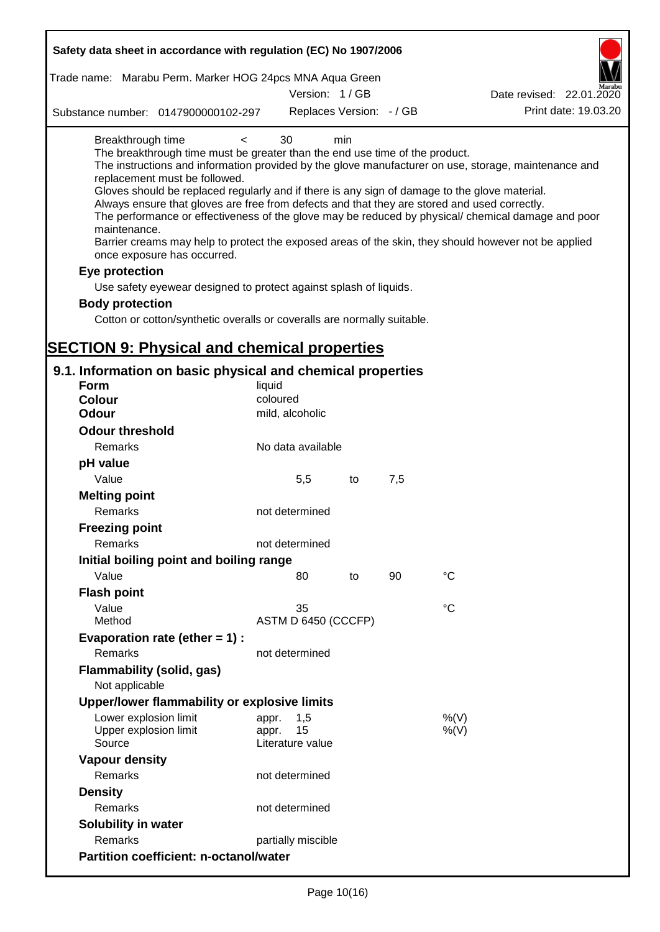| Safety data sheet in accordance with regulation (EC) No 1907/2006                                                                                                                                                                                                                                                                                                                            |                                                 |     |     |                                                                                                                                                                                                                                                                                                                    |
|----------------------------------------------------------------------------------------------------------------------------------------------------------------------------------------------------------------------------------------------------------------------------------------------------------------------------------------------------------------------------------------------|-------------------------------------------------|-----|-----|--------------------------------------------------------------------------------------------------------------------------------------------------------------------------------------------------------------------------------------------------------------------------------------------------------------------|
| Trade name: Marabu Perm. Marker HOG 24pcs MNA Aqua Green                                                                                                                                                                                                                                                                                                                                     |                                                 |     |     |                                                                                                                                                                                                                                                                                                                    |
|                                                                                                                                                                                                                                                                                                                                                                                              | Version: 1/GB                                   |     |     | Date revised: 22.01.2020                                                                                                                                                                                                                                                                                           |
| Substance number: 0147900000102-297                                                                                                                                                                                                                                                                                                                                                          | Replaces Version: - / GB                        |     |     | Print date: 19.03.20                                                                                                                                                                                                                                                                                               |
| Breakthrough time<br>$\,<\,$<br>The breakthrough time must be greater than the end use time of the product.<br>replacement must be followed.<br>Gloves should be replaced regularly and if there is any sign of damage to the glove material.<br>Always ensure that gloves are free from defects and that they are stored and used correctly.<br>maintenance.<br>once exposure has occurred. | 30                                              | min |     | The instructions and information provided by the glove manufacturer on use, storage, maintenance and<br>The performance or effectiveness of the glove may be reduced by physical/ chemical damage and poor<br>Barrier creams may help to protect the exposed areas of the skin, they should however not be applied |
| Eye protection                                                                                                                                                                                                                                                                                                                                                                               |                                                 |     |     |                                                                                                                                                                                                                                                                                                                    |
| Use safety eyewear designed to protect against splash of liquids.                                                                                                                                                                                                                                                                                                                            |                                                 |     |     |                                                                                                                                                                                                                                                                                                                    |
| <b>Body protection</b>                                                                                                                                                                                                                                                                                                                                                                       |                                                 |     |     |                                                                                                                                                                                                                                                                                                                    |
| Cotton or cotton/synthetic overalls or coveralls are normally suitable.                                                                                                                                                                                                                                                                                                                      |                                                 |     |     |                                                                                                                                                                                                                                                                                                                    |
|                                                                                                                                                                                                                                                                                                                                                                                              |                                                 |     |     |                                                                                                                                                                                                                                                                                                                    |
| <b>SECTION 9: Physical and chemical properties</b>                                                                                                                                                                                                                                                                                                                                           |                                                 |     |     |                                                                                                                                                                                                                                                                                                                    |
| 9.1. Information on basic physical and chemical properties                                                                                                                                                                                                                                                                                                                                   |                                                 |     |     |                                                                                                                                                                                                                                                                                                                    |
| <b>Form</b>                                                                                                                                                                                                                                                                                                                                                                                  | liquid                                          |     |     |                                                                                                                                                                                                                                                                                                                    |
| <b>Colour</b>                                                                                                                                                                                                                                                                                                                                                                                | coloured                                        |     |     |                                                                                                                                                                                                                                                                                                                    |
| <b>Odour</b>                                                                                                                                                                                                                                                                                                                                                                                 | mild, alcoholic                                 |     |     |                                                                                                                                                                                                                                                                                                                    |
| <b>Odour threshold</b>                                                                                                                                                                                                                                                                                                                                                                       |                                                 |     |     |                                                                                                                                                                                                                                                                                                                    |
| Remarks                                                                                                                                                                                                                                                                                                                                                                                      | No data available                               |     |     |                                                                                                                                                                                                                                                                                                                    |
| pH value                                                                                                                                                                                                                                                                                                                                                                                     |                                                 |     |     |                                                                                                                                                                                                                                                                                                                    |
| Value                                                                                                                                                                                                                                                                                                                                                                                        | 5,5                                             | to  | 7,5 |                                                                                                                                                                                                                                                                                                                    |
| <b>Melting point</b>                                                                                                                                                                                                                                                                                                                                                                         |                                                 |     |     |                                                                                                                                                                                                                                                                                                                    |
| Remarks                                                                                                                                                                                                                                                                                                                                                                                      | not determined                                  |     |     |                                                                                                                                                                                                                                                                                                                    |
| <b>Freezing point</b>                                                                                                                                                                                                                                                                                                                                                                        |                                                 |     |     |                                                                                                                                                                                                                                                                                                                    |
| Remarks                                                                                                                                                                                                                                                                                                                                                                                      | not determined                                  |     |     |                                                                                                                                                                                                                                                                                                                    |
| Initial boiling point and boiling range                                                                                                                                                                                                                                                                                                                                                      |                                                 |     |     |                                                                                                                                                                                                                                                                                                                    |
| Value                                                                                                                                                                                                                                                                                                                                                                                        | 80                                              | to  | 90  | $^{\circ}C$                                                                                                                                                                                                                                                                                                        |
| <b>Flash point</b>                                                                                                                                                                                                                                                                                                                                                                           |                                                 |     |     |                                                                                                                                                                                                                                                                                                                    |
| Value                                                                                                                                                                                                                                                                                                                                                                                        | 35                                              |     |     | $^{\circ}C$                                                                                                                                                                                                                                                                                                        |
| Method                                                                                                                                                                                                                                                                                                                                                                                       | ASTM D 6450 (CCCFP)                             |     |     |                                                                                                                                                                                                                                                                                                                    |
| Evaporation rate (ether $= 1$ ) :                                                                                                                                                                                                                                                                                                                                                            |                                                 |     |     |                                                                                                                                                                                                                                                                                                                    |
| Remarks                                                                                                                                                                                                                                                                                                                                                                                      | not determined                                  |     |     |                                                                                                                                                                                                                                                                                                                    |
| <b>Flammability (solid, gas)</b>                                                                                                                                                                                                                                                                                                                                                             |                                                 |     |     |                                                                                                                                                                                                                                                                                                                    |
| Not applicable                                                                                                                                                                                                                                                                                                                                                                               |                                                 |     |     |                                                                                                                                                                                                                                                                                                                    |
| Upper/lower flammability or explosive limits                                                                                                                                                                                                                                                                                                                                                 |                                                 |     |     |                                                                                                                                                                                                                                                                                                                    |
| Lower explosion limit<br>Upper explosion limit<br>Source                                                                                                                                                                                                                                                                                                                                     | 1,5<br>appr.<br>15<br>appr.<br>Literature value |     |     | %(V)<br>%(V)                                                                                                                                                                                                                                                                                                       |
| <b>Vapour density</b>                                                                                                                                                                                                                                                                                                                                                                        |                                                 |     |     |                                                                                                                                                                                                                                                                                                                    |
| Remarks                                                                                                                                                                                                                                                                                                                                                                                      | not determined                                  |     |     |                                                                                                                                                                                                                                                                                                                    |
| <b>Density</b>                                                                                                                                                                                                                                                                                                                                                                               |                                                 |     |     |                                                                                                                                                                                                                                                                                                                    |
| Remarks                                                                                                                                                                                                                                                                                                                                                                                      | not determined                                  |     |     |                                                                                                                                                                                                                                                                                                                    |
| Solubility in water                                                                                                                                                                                                                                                                                                                                                                          |                                                 |     |     |                                                                                                                                                                                                                                                                                                                    |
| Remarks                                                                                                                                                                                                                                                                                                                                                                                      | partially miscible                              |     |     |                                                                                                                                                                                                                                                                                                                    |
| <b>Partition coefficient: n-octanol/water</b>                                                                                                                                                                                                                                                                                                                                                |                                                 |     |     |                                                                                                                                                                                                                                                                                                                    |
|                                                                                                                                                                                                                                                                                                                                                                                              |                                                 |     |     |                                                                                                                                                                                                                                                                                                                    |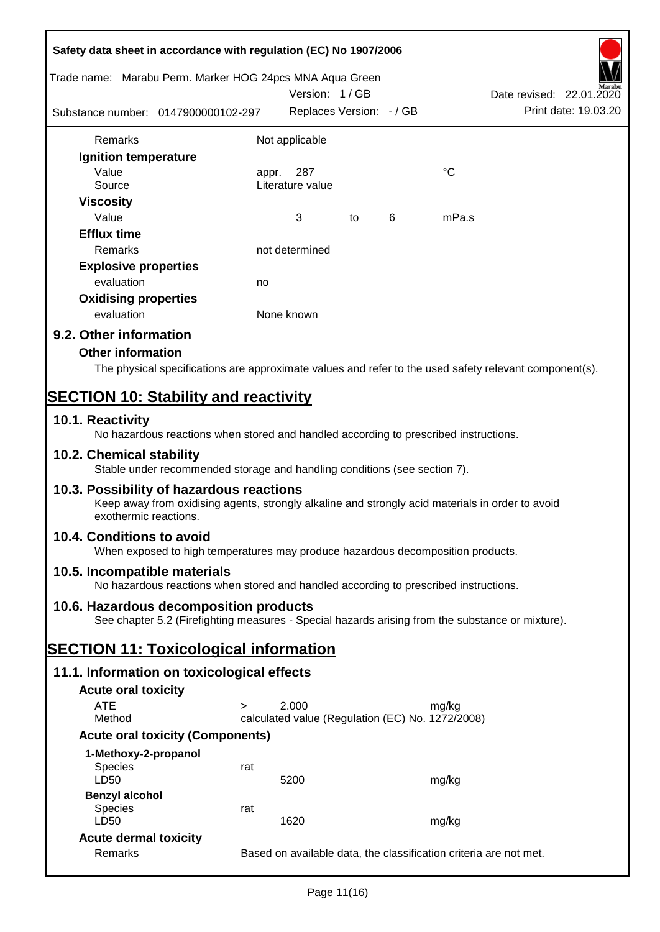|                                                          | Safety data sheet in accordance with regulation (EC) No 1907/2006                                                                            |            |                                                  |    |   |             |                                                                                                        |
|----------------------------------------------------------|----------------------------------------------------------------------------------------------------------------------------------------------|------------|--------------------------------------------------|----|---|-------------|--------------------------------------------------------------------------------------------------------|
| Trade name: Marabu Perm. Marker HOG 24pcs MNA Aqua Green |                                                                                                                                              |            | Version: 1/GB                                    |    |   |             | Date revised: 22.01.2020                                                                               |
|                                                          | Substance number: 0147900000102-297                                                                                                          |            | Replaces Version: - / GB                         |    |   |             | Print date: 19.03.20                                                                                   |
| Remarks                                                  |                                                                                                                                              |            | Not applicable                                   |    |   |             |                                                                                                        |
| Ignition temperature                                     |                                                                                                                                              |            |                                                  |    |   |             |                                                                                                        |
| Value<br>Source                                          |                                                                                                                                              | appr.      | 287<br>Literature value                          |    |   | $^{\circ}C$ |                                                                                                        |
| <b>Viscosity</b><br>Value                                |                                                                                                                                              |            | 3                                                |    | 6 | mPa.s       |                                                                                                        |
|                                                          |                                                                                                                                              |            |                                                  | to |   |             |                                                                                                        |
| <b>Efflux time</b>                                       |                                                                                                                                              |            |                                                  |    |   |             |                                                                                                        |
| Remarks                                                  |                                                                                                                                              |            | not determined                                   |    |   |             |                                                                                                        |
| <b>Explosive properties</b>                              |                                                                                                                                              |            |                                                  |    |   |             |                                                                                                        |
| evaluation                                               |                                                                                                                                              | no         |                                                  |    |   |             |                                                                                                        |
| <b>Oxidising properties</b><br>evaluation                |                                                                                                                                              | None known |                                                  |    |   |             |                                                                                                        |
| 9.2. Other information                                   |                                                                                                                                              |            |                                                  |    |   |             |                                                                                                        |
| <b>Other information</b>                                 |                                                                                                                                              |            |                                                  |    |   |             |                                                                                                        |
|                                                          |                                                                                                                                              |            |                                                  |    |   |             | The physical specifications are approximate values and refer to the used safety relevant component(s). |
|                                                          |                                                                                                                                              |            |                                                  |    |   |             |                                                                                                        |
| <b>SECTION 10: Stability and reactivity</b>              |                                                                                                                                              |            |                                                  |    |   |             |                                                                                                        |
| 10.1. Reactivity                                         | No hazardous reactions when stored and handled according to prescribed instructions.                                                         |            |                                                  |    |   |             |                                                                                                        |
| 10.2. Chemical stability                                 | Stable under recommended storage and handling conditions (see section 7).                                                                    |            |                                                  |    |   |             |                                                                                                        |
| exothermic reactions.                                    | 10.3. Possibility of hazardous reactions<br>Keep away from oxidising agents, strongly alkaline and strongly acid materials in order to avoid |            |                                                  |    |   |             |                                                                                                        |
| 10.4. Conditions to avoid                                | When exposed to high temperatures may produce hazardous decomposition products.                                                              |            |                                                  |    |   |             |                                                                                                        |
| 10.5. Incompatible materials                             | No hazardous reactions when stored and handled according to prescribed instructions.                                                         |            |                                                  |    |   |             |                                                                                                        |
|                                                          | 10.6. Hazardous decomposition products<br>See chapter 5.2 (Firefighting measures - Special hazards arising from the substance or mixture).   |            |                                                  |    |   |             |                                                                                                        |
| <b>SECTION 11: Toxicological information</b>             |                                                                                                                                              |            |                                                  |    |   |             |                                                                                                        |
|                                                          | 11.1. Information on toxicological effects                                                                                                   |            |                                                  |    |   |             |                                                                                                        |
|                                                          |                                                                                                                                              |            |                                                  |    |   |             |                                                                                                        |
| <b>Acute oral toxicity</b><br><b>ATE</b>                 | $\geq$                                                                                                                                       |            | 2.000                                            |    |   | mg/kg       |                                                                                                        |
| Method                                                   |                                                                                                                                              |            | calculated value (Regulation (EC) No. 1272/2008) |    |   |             |                                                                                                        |
|                                                          | <b>Acute oral toxicity (Components)</b>                                                                                                      |            |                                                  |    |   |             |                                                                                                        |
| 1-Methoxy-2-propanol                                     |                                                                                                                                              |            |                                                  |    |   |             |                                                                                                        |
| Species<br>LD50                                          | rat                                                                                                                                          |            | 5200                                             |    |   | mg/kg       |                                                                                                        |
| <b>Benzyl alcohol</b>                                    |                                                                                                                                              |            |                                                  |    |   |             |                                                                                                        |
| Species<br>LD50                                          | rat                                                                                                                                          |            | 1620                                             |    |   | mg/kg       |                                                                                                        |
| <b>Acute dermal toxicity</b>                             |                                                                                                                                              |            |                                                  |    |   |             |                                                                                                        |
| Remarks                                                  |                                                                                                                                              |            |                                                  |    |   |             | Based on available data, the classification criteria are not met.                                      |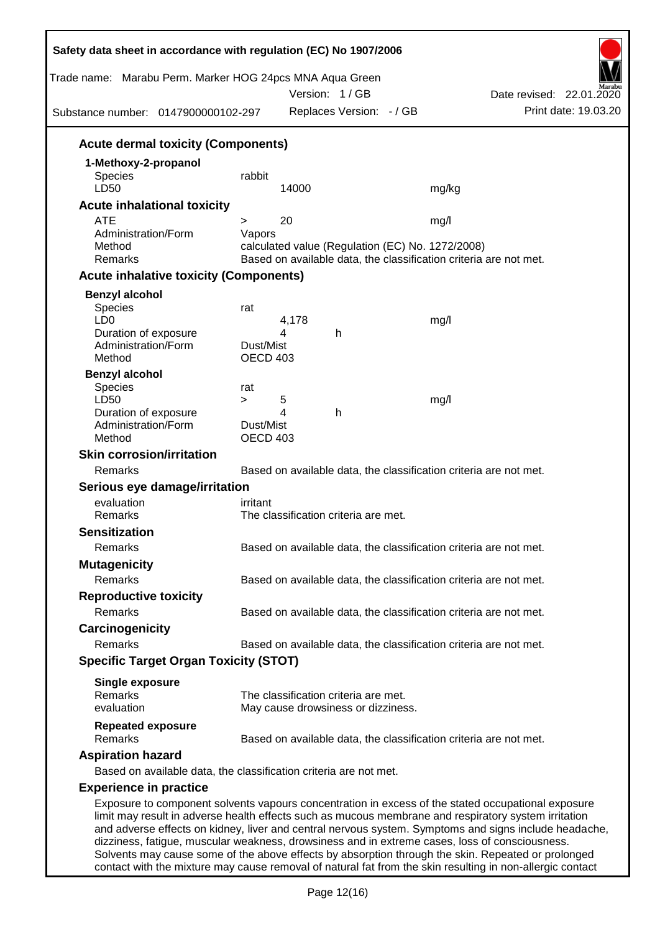| Trade name: Marabu Perm. Marker HOG 24pcs MNA Aqua Green                                                                                                                                                   |                       |       | Version: 1/GB<br>Replaces Version: - / GB |                                                                   | Date revised: 22.01.2020<br>Print date: 19.03.20                                                      |
|------------------------------------------------------------------------------------------------------------------------------------------------------------------------------------------------------------|-----------------------|-------|-------------------------------------------|-------------------------------------------------------------------|-------------------------------------------------------------------------------------------------------|
| Substance number: 0147900000102-297                                                                                                                                                                        |                       |       |                                           |                                                                   |                                                                                                       |
| <b>Acute dermal toxicity (Components)</b>                                                                                                                                                                  |                       |       |                                           |                                                                   |                                                                                                       |
| 1-Methoxy-2-propanol                                                                                                                                                                                       |                       |       |                                           |                                                                   |                                                                                                       |
| <b>Species</b>                                                                                                                                                                                             | rabbit                |       |                                           |                                                                   |                                                                                                       |
| LD50                                                                                                                                                                                                       |                       | 14000 |                                           | mg/kg                                                             |                                                                                                       |
| <b>Acute inhalational toxicity</b>                                                                                                                                                                         |                       |       |                                           |                                                                   |                                                                                                       |
| <b>ATE</b>                                                                                                                                                                                                 | $\geq$                | 20    |                                           | mg/l                                                              |                                                                                                       |
| Administration/Form                                                                                                                                                                                        | Vapors                |       |                                           |                                                                   |                                                                                                       |
| Method                                                                                                                                                                                                     |                       |       |                                           | calculated value (Regulation (EC) No. 1272/2008)                  |                                                                                                       |
| Remarks                                                                                                                                                                                                    |                       |       |                                           | Based on available data, the classification criteria are not met. |                                                                                                       |
| <b>Acute inhalative toxicity (Components)</b>                                                                                                                                                              |                       |       |                                           |                                                                   |                                                                                                       |
| <b>Benzyl alcohol</b>                                                                                                                                                                                      |                       |       |                                           |                                                                   |                                                                                                       |
| <b>Species</b>                                                                                                                                                                                             | rat                   |       |                                           |                                                                   |                                                                                                       |
| LD <sub>0</sub>                                                                                                                                                                                            |                       | 4,178 |                                           | mg/l                                                              |                                                                                                       |
| Duration of exposure                                                                                                                                                                                       |                       | 4     | h                                         |                                                                   |                                                                                                       |
| Administration/Form<br>Method                                                                                                                                                                              | Dust/Mist<br>OECD 403 |       |                                           |                                                                   |                                                                                                       |
|                                                                                                                                                                                                            |                       |       |                                           |                                                                   |                                                                                                       |
| <b>Benzyl alcohol</b><br><b>Species</b>                                                                                                                                                                    |                       |       |                                           |                                                                   |                                                                                                       |
| LD50                                                                                                                                                                                                       | rat<br>$\geq$         | 5     |                                           | mg/l                                                              |                                                                                                       |
| Duration of exposure                                                                                                                                                                                       |                       | 4     | h                                         |                                                                   |                                                                                                       |
| Administration/Form                                                                                                                                                                                        | Dust/Mist             |       |                                           |                                                                   |                                                                                                       |
| Method                                                                                                                                                                                                     | OECD 403              |       |                                           |                                                                   |                                                                                                       |
| <b>Skin corrosion/irritation</b>                                                                                                                                                                           |                       |       |                                           |                                                                   |                                                                                                       |
| Remarks                                                                                                                                                                                                    |                       |       |                                           | Based on available data, the classification criteria are not met. |                                                                                                       |
| Serious eye damage/irritation                                                                                                                                                                              |                       |       |                                           |                                                                   |                                                                                                       |
| evaluation                                                                                                                                                                                                 | irritant              |       |                                           |                                                                   |                                                                                                       |
| Remarks                                                                                                                                                                                                    |                       |       | The classification criteria are met.      |                                                                   |                                                                                                       |
| <b>Sensitization</b>                                                                                                                                                                                       |                       |       |                                           |                                                                   |                                                                                                       |
| Remarks                                                                                                                                                                                                    |                       |       |                                           | Based on available data, the classification criteria are not met. |                                                                                                       |
| <b>Mutagenicity</b>                                                                                                                                                                                        |                       |       |                                           |                                                                   |                                                                                                       |
| Remarks                                                                                                                                                                                                    |                       |       |                                           | Based on available data, the classification criteria are not met. |                                                                                                       |
|                                                                                                                                                                                                            |                       |       |                                           |                                                                   |                                                                                                       |
| <b>Reproductive toxicity</b>                                                                                                                                                                               |                       |       |                                           |                                                                   |                                                                                                       |
| Remarks                                                                                                                                                                                                    |                       |       |                                           | Based on available data, the classification criteria are not met. |                                                                                                       |
| Carcinogenicity                                                                                                                                                                                            |                       |       |                                           |                                                                   |                                                                                                       |
| Remarks                                                                                                                                                                                                    |                       |       |                                           | Based on available data, the classification criteria are not met. |                                                                                                       |
| <b>Specific Target Organ Toxicity (STOT)</b>                                                                                                                                                               |                       |       |                                           |                                                                   |                                                                                                       |
| <b>Single exposure</b>                                                                                                                                                                                     |                       |       |                                           |                                                                   |                                                                                                       |
| Remarks                                                                                                                                                                                                    |                       |       | The classification criteria are met.      |                                                                   |                                                                                                       |
| evaluation                                                                                                                                                                                                 |                       |       | May cause drowsiness or dizziness.        |                                                                   |                                                                                                       |
| <b>Repeated exposure</b><br>Remarks                                                                                                                                                                        |                       |       |                                           | Based on available data, the classification criteria are not met. |                                                                                                       |
| <b>Aspiration hazard</b>                                                                                                                                                                                   |                       |       |                                           |                                                                   |                                                                                                       |
| Based on available data, the classification criteria are not met.                                                                                                                                          |                       |       |                                           |                                                                   |                                                                                                       |
| <b>Experience in practice</b>                                                                                                                                                                              |                       |       |                                           |                                                                   |                                                                                                       |
|                                                                                                                                                                                                            |                       |       |                                           |                                                                   |                                                                                                       |
| Exposure to component solvents vapours concentration in excess of the stated occupational exposure<br>limit may result in adverse health effects such as mucous membrane and respiratory system irritation |                       |       |                                           |                                                                   | and adverse effects on kidney, liver and central nervous system. Symptoms and signs include headache, |

dizziness, fatigue, muscular weakness, drowsiness and in extreme cases, loss of consciousness. Solvents may cause some of the above effects by absorption through the skin. Repeated or prolonged contact with the mixture may cause removal of natural fat from the skin resulting in non-allergic contact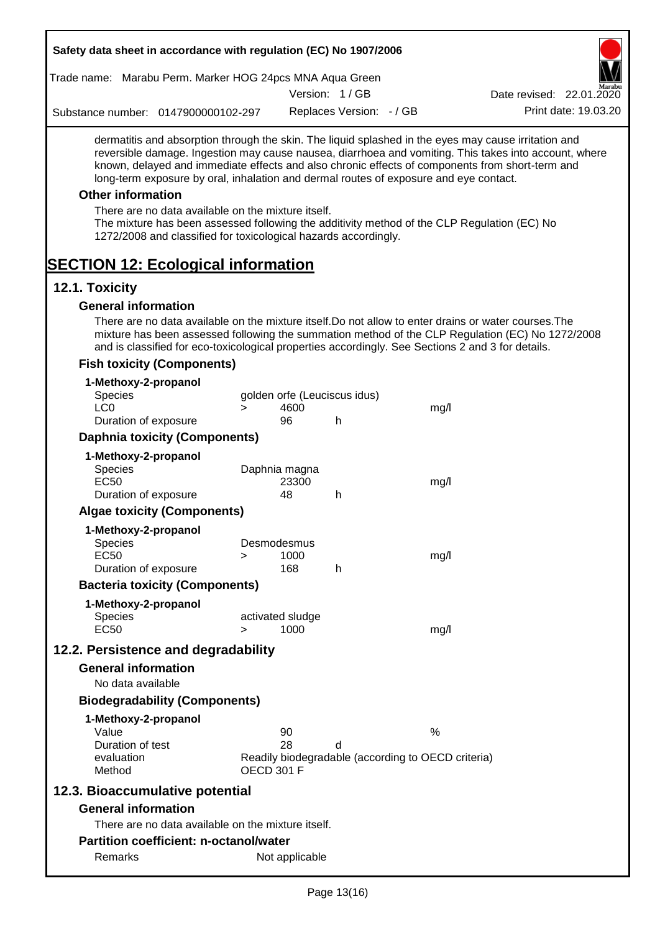|                               |                                | Trade name: Marabu Perm. Marker HOG 24pcs MNA Aqua Green                                                              |                   |                              |                              |                                                                                       |                                                                                                                                                                                                                                                                                                                  |
|-------------------------------|--------------------------------|-----------------------------------------------------------------------------------------------------------------------|-------------------|------------------------------|------------------------------|---------------------------------------------------------------------------------------|------------------------------------------------------------------------------------------------------------------------------------------------------------------------------------------------------------------------------------------------------------------------------------------------------------------|
|                               |                                |                                                                                                                       |                   |                              | Version: 1/GB                |                                                                                       | Date revised: 22.01.2020                                                                                                                                                                                                                                                                                         |
|                               |                                | Substance number: 0147900000102-297                                                                                   |                   |                              | Replaces Version: - / GB     |                                                                                       | Print date: 19.03.20                                                                                                                                                                                                                                                                                             |
|                               |                                |                                                                                                                       |                   |                              |                              | long-term exposure by oral, inhalation and dermal routes of exposure and eye contact. | dermatitis and absorption through the skin. The liquid splashed in the eyes may cause irritation and<br>reversible damage. Ingestion may cause nausea, diarrhoea and vomiting. This takes into account, where<br>known, delayed and immediate effects and also chronic effects of components from short-term and |
| <b>Other information</b>      |                                |                                                                                                                       |                   |                              |                              |                                                                                       |                                                                                                                                                                                                                                                                                                                  |
|                               |                                | There are no data available on the mixture itself.<br>1272/2008 and classified for toxicological hazards accordingly. |                   |                              |                              |                                                                                       | The mixture has been assessed following the additivity method of the CLP Regulation (EC) No                                                                                                                                                                                                                      |
|                               |                                | <b>SECTION 12: Ecological information</b>                                                                             |                   |                              |                              |                                                                                       |                                                                                                                                                                                                                                                                                                                  |
| 12.1. Toxicity                |                                |                                                                                                                       |                   |                              |                              |                                                                                       |                                                                                                                                                                                                                                                                                                                  |
|                               |                                | <b>General information</b>                                                                                            |                   |                              |                              |                                                                                       |                                                                                                                                                                                                                                                                                                                  |
|                               |                                |                                                                                                                       |                   |                              |                              |                                                                                       | There are no data available on the mixture itself. Do not allow to enter drains or water courses. The<br>mixture has been assessed following the summation method of the CLP Regulation (EC) No 1272/2008<br>and is classified for eco-toxicological properties accordingly. See Sections 2 and 3 for details.   |
|                               |                                | <b>Fish toxicity (Components)</b>                                                                                     |                   |                              |                              |                                                                                       |                                                                                                                                                                                                                                                                                                                  |
| Species<br>LC <sub>0</sub>    |                                | 1-Methoxy-2-propanol                                                                                                  | $\geq$            | 4600                         | golden orfe (Leuciscus idus) | mg/l                                                                                  |                                                                                                                                                                                                                                                                                                                  |
|                               |                                | Duration of exposure                                                                                                  |                   | 96                           | h                            |                                                                                       |                                                                                                                                                                                                                                                                                                                  |
|                               |                                | <b>Daphnia toxicity (Components)</b>                                                                                  |                   |                              |                              |                                                                                       |                                                                                                                                                                                                                                                                                                                  |
| Species<br><b>EC50</b>        |                                | 1-Methoxy-2-propanol                                                                                                  |                   | Daphnia magna<br>23300<br>48 |                              | mg/l                                                                                  |                                                                                                                                                                                                                                                                                                                  |
|                               |                                | Duration of exposure                                                                                                  |                   |                              | h                            |                                                                                       |                                                                                                                                                                                                                                                                                                                  |
|                               |                                | <b>Algae toxicity (Components)</b>                                                                                    |                   |                              |                              |                                                                                       |                                                                                                                                                                                                                                                                                                                  |
| Species<br><b>EC50</b>        |                                | 1-Methoxy-2-propanol                                                                                                  | >                 | Desmodesmus<br>1000          |                              | mg/l                                                                                  |                                                                                                                                                                                                                                                                                                                  |
|                               |                                | Duration of exposure                                                                                                  |                   | 168                          | h                            |                                                                                       |                                                                                                                                                                                                                                                                                                                  |
|                               |                                | <b>Bacteria toxicity (Components)</b>                                                                                 |                   |                              |                              |                                                                                       |                                                                                                                                                                                                                                                                                                                  |
| <b>Species</b><br><b>EC50</b> |                                | 1-Methoxy-2-propanol                                                                                                  | >                 | activated sludge<br>1000     |                              | mg/l                                                                                  |                                                                                                                                                                                                                                                                                                                  |
|                               |                                | 12.2. Persistence and degradability                                                                                   |                   |                              |                              |                                                                                       |                                                                                                                                                                                                                                                                                                                  |
|                               |                                | <b>General information</b>                                                                                            |                   |                              |                              |                                                                                       |                                                                                                                                                                                                                                                                                                                  |
|                               | No data available              |                                                                                                                       |                   |                              |                              |                                                                                       |                                                                                                                                                                                                                                                                                                                  |
|                               |                                | <b>Biodegradability (Components)</b>                                                                                  |                   |                              |                              |                                                                                       |                                                                                                                                                                                                                                                                                                                  |
| Value                         |                                | 1-Methoxy-2-propanol                                                                                                  |                   | 90                           |                              | %                                                                                     |                                                                                                                                                                                                                                                                                                                  |
| Method                        | Duration of test<br>evaluation |                                                                                                                       | <b>OECD 301 F</b> | 28                           | d                            | Readily biodegradable (according to OECD criteria)                                    |                                                                                                                                                                                                                                                                                                                  |
|                               |                                | 12.3. Bioaccumulative potential                                                                                       |                   |                              |                              |                                                                                       |                                                                                                                                                                                                                                                                                                                  |
|                               |                                | <b>General information</b><br>There are no data available on the mixture itself.                                      |                   |                              |                              |                                                                                       |                                                                                                                                                                                                                                                                                                                  |
|                               |                                | <b>Partition coefficient: n-octanol/water</b>                                                                         |                   |                              |                              |                                                                                       |                                                                                                                                                                                                                                                                                                                  |
|                               |                                |                                                                                                                       |                   |                              |                              |                                                                                       |                                                                                                                                                                                                                                                                                                                  |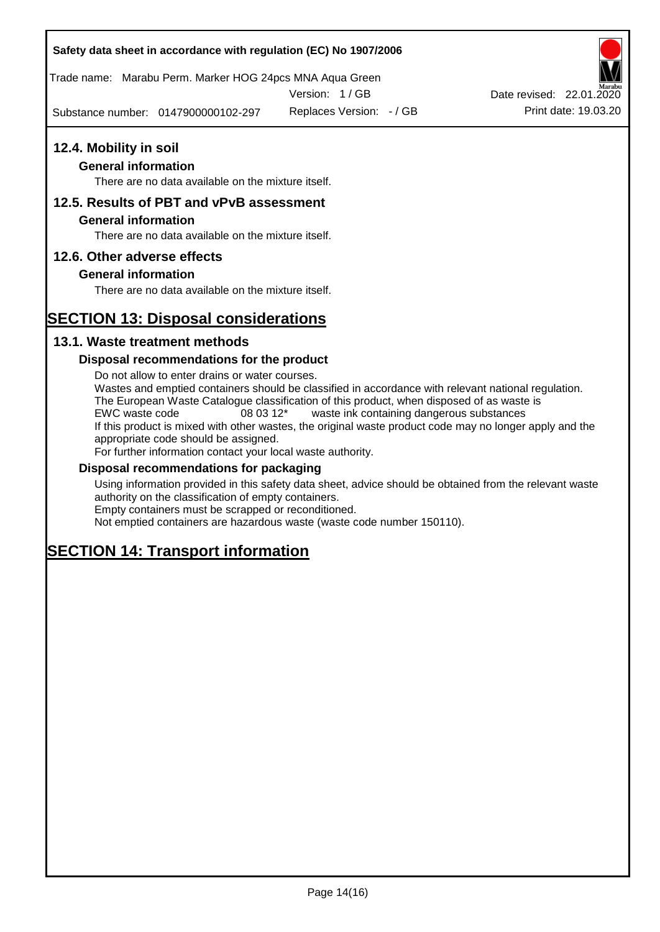Trade name: Marabu Perm. Marker HOG 24pcs MNA Aqua Green

Version: 1 / GB

Substance number: 0147900000102-297

### **12.4. Mobility in soil**

#### **General information**

There are no data available on the mixture itself.

### **12.5. Results of PBT and vPvB assessment**

#### **General information**

There are no data available on the mixture itself.

#### **12.6. Other adverse effects**

#### **General information**

There are no data available on the mixture itself.

# **SECTION 13: Disposal considerations**

#### **13.1. Waste treatment methods**

#### **Disposal recommendations for the product**

Do not allow to enter drains or water courses. Wastes and emptied containers should be classified in accordance with relevant national regulation. The European Waste Catalogue classification of this product, when disposed of as waste is EWC waste code 08 03 12\* waste ink containing dangerous substances If this product is mixed with other wastes, the original waste product code may no longer apply and the appropriate code should be assigned. For further information contact your local waste authority.

#### **Disposal recommendations for packaging**

Using information provided in this safety data sheet, advice should be obtained from the relevant waste authority on the classification of empty containers. Empty containers must be scrapped or reconditioned.

Not emptied containers are hazardous waste (waste code number 150110).

# **SECTION 14: Transport information**



Replaces Version: - / GB Print date: 19.03.20 Date revised: 22.01.2020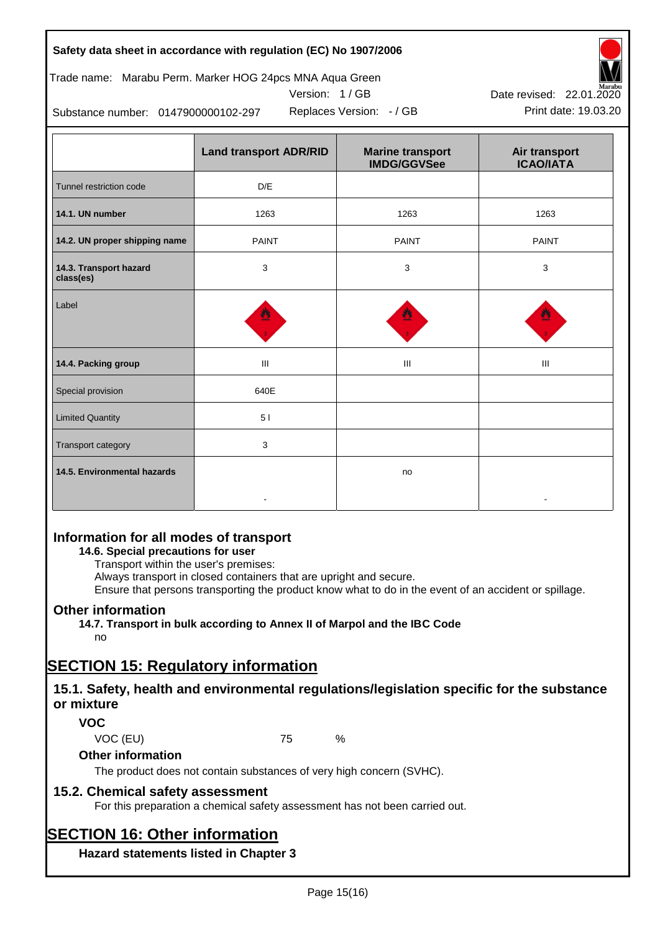### Trade name: Marabu Perm. Marker HOG 24pcs MNA Aqua Green



Version: 1 / GB

Replaces Version: - / GB Print date: 19.03.20

Substance number: 0147900000102-297

|                                     | <b>Land transport ADR/RID</b> | <b>Marine transport</b><br><b>IMDG/GGVSee</b> | Air transport<br><b>ICAO/IATA</b> |
|-------------------------------------|-------------------------------|-----------------------------------------------|-----------------------------------|
| Tunnel restriction code             | D/E                           |                                               |                                   |
| 14.1. UN number                     | 1263                          | 1263                                          | 1263                              |
| 14.2. UN proper shipping name       | <b>PAINT</b>                  | <b>PAINT</b>                                  | <b>PAINT</b>                      |
| 14.3. Transport hazard<br>class(es) | 3                             | 3                                             | 3                                 |
| Label                               |                               |                                               |                                   |
| 14.4. Packing group                 | Ш                             | Ш                                             | Ш                                 |
| Special provision                   | 640E                          |                                               |                                   |
| <b>Limited Quantity</b>             | 51                            |                                               |                                   |
| Transport category                  | 3                             |                                               |                                   |
| 14.5. Environmental hazards         |                               | no                                            |                                   |

### **Information for all modes of transport**

#### **14.6. Special precautions for user**

Transport within the user's premises:

Always transport in closed containers that are upright and secure.

Ensure that persons transporting the product know what to do in the event of an accident or spillage.

### **Other information**

**14.7. Transport in bulk according to Annex II of Marpol and the IBC Code** no

# **SECTION 15: Regulatory information**

### **15.1. Safety, health and environmental regulations/legislation specific for the substance or mixture**

### **VOC**

VOC (EU) 75 %

### **Other information**

The product does not contain substances of very high concern (SVHC).

### **15.2. Chemical safety assessment**

For this preparation a chemical safety assessment has not been carried out.

# **SECTION 16: Other information**

**Hazard statements listed in Chapter 3**